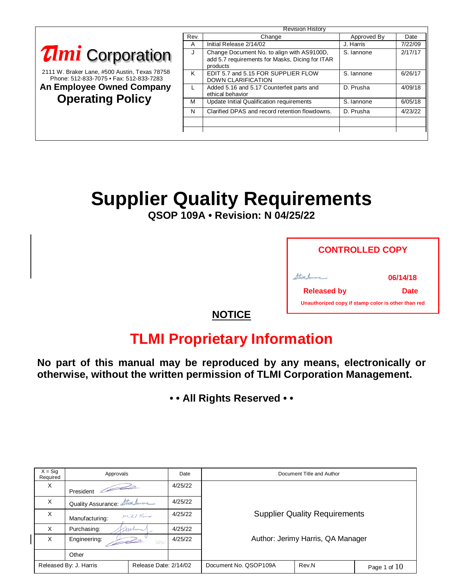|                                                                                          | <b>Revision History</b> |                                                                                                           |             |         |
|------------------------------------------------------------------------------------------|-------------------------|-----------------------------------------------------------------------------------------------------------|-------------|---------|
|                                                                                          | Rev.                    | Change                                                                                                    | Approved By | Date    |
|                                                                                          | A                       | Initial Release 2/14/02                                                                                   | J. Harris   | 7/22/09 |
| <b>Timi</b> Corporation                                                                  | J                       | Change Document No. to align with AS9100D,<br>add 5.7 requirements for Masks, Dicing for ITAR<br>products | S. lannone  | 2/17/17 |
| 2111 W. Braker Lane, #500 Austin, Texas 78758<br>Phone: 512-833-7075 • Fax: 512-833-7283 | K                       | EDIT 5.7 and 5.15 FOR SUPPLIER FLOW<br><b>DOWN CLARIFICATION</b>                                          | S. lannone  | 6/26/17 |
| <b>An Employee Owned Company</b>                                                         | $\mathbf{L}$            | Added 5.16 and 5.17 Counterfeit parts and<br>ethical behavior                                             | D. Prusha   | 4/09/18 |
| <b>Operating Policy</b>                                                                  | м                       | <b>Update Initial Qualification requirements</b>                                                          | S. lannone  | 6/05/18 |
|                                                                                          | N                       | Clarified DPAS and record retention flowdowns.                                                            | D. Prusha   | 4/23/22 |
|                                                                                          |                         |                                                                                                           |             |         |
|                                                                                          |                         |                                                                                                           |             |         |

# **Supplier Quality Requirements**

**QSOP 109A • Revision: N 04/25/22**

| <b>CONTROLLED COPY</b>                             |             |  |  |
|----------------------------------------------------|-------------|--|--|
|                                                    | 06/14/18    |  |  |
| <b>Released by</b>                                 | <b>Date</b> |  |  |
| Unauthorized copy if stamp color is other than red |             |  |  |

### **NOTICE**

## **TLMI Proprietary Information**

**No part of this manual may be reproduced by any means, electronically or otherwise, without the written permission of TLMI Corporation Management.**

**• • All Rights Reserved • •**

| $X = Sig$<br>Required | Approvals                                       |                       | Date    | Document Title and Author            |                                   |                |
|-----------------------|-------------------------------------------------|-----------------------|---------|--------------------------------------|-----------------------------------|----------------|
| X                     | President                                       |                       | 4/25/22 |                                      |                                   |                |
| X                     | Quality Assurance: Ator James                   |                       | 4/25/22 |                                      |                                   |                |
| X                     | Manufacturing:                                  | middle River          | 4/25/22 | <b>Supplier Quality Requirements</b> |                                   |                |
| $\times$              | Purchasing:<br>uchan                            |                       | 4/25/22 |                                      |                                   |                |
| X                     | 4/25/22<br>Engineering:<br>FA<br><b>U</b> stDel |                       |         |                                      | Author: Jerimy Harris, QA Manager |                |
|                       | Other                                           |                       |         |                                      |                                   |                |
|                       | Released By: J. Harris                          | Release Date: 2/14/02 |         | Document No. QSOP109A                | Rev.N                             | Page 1 of $10$ |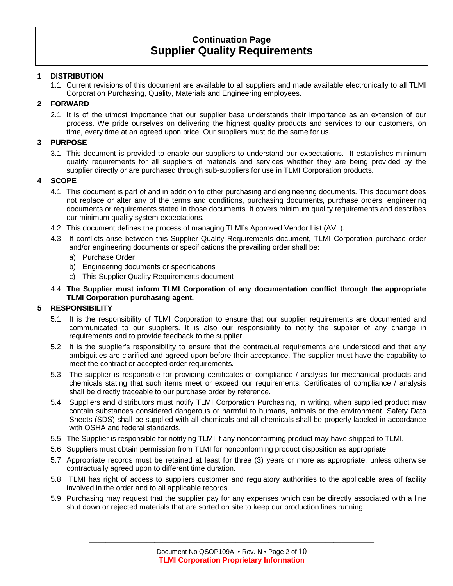### **1 DISTRIBUTION**

1.1 Current revisions of this document are available to all suppliers and made available electronically to all TLMI Corporation Purchasing, Quality, Materials and Engineering employees.

### **2 FORWARD**

2.1 It is of the utmost importance that our supplier base understands their importance as an extension of our process. We pride ourselves on delivering the highest quality products and services to our customers, on time, every time at an agreed upon price. Our suppliers must do the same for us.

#### **3 PURPOSE**

3.1 This document is provided to enable our suppliers to understand our expectations. It establishes minimum quality requirements for all suppliers of materials and services whether they are being provided by the supplier directly or are purchased through sub-suppliers for use in TLMI Corporation products.

#### **4 SCOPE**

- 4.1 This document is part of and in addition to other purchasing and engineering documents. This document does not replace or alter any of the terms and conditions, purchasing documents, purchase orders, engineering documents or requirements stated in those documents. It covers minimum quality requirements and describes our minimum quality system expectations.
- 4.2 This document defines the process of managing TLMI's Approved Vendor List (AVL).
- 4.3 If conflicts arise between this Supplier Quality Requirements document, TLMI Corporation purchase order and/or engineering documents or specifications the prevailing order shall be:
	- a) Purchase Order
	- b) Engineering documents or specifications
	- c) This Supplier Quality Requirements document
- 4.4 **The Supplier must inform TLMI Corporation of any documentation conflict through the appropriate TLMI Corporation purchasing agent.**

#### **5 RESPONSIBILITY**

- 5.1 It is the responsibility of TLMI Corporation to ensure that our supplier requirements are documented and communicated to our suppliers. It is also our responsibility to notify the supplier of any change in requirements and to provide feedback to the supplier.
- 5.2 It is the supplier's responsibility to ensure that the contractual requirements are understood and that any ambiguities are clarified and agreed upon before their acceptance. The supplier must have the capability to meet the contract or accepted order requirements.
- 5.3 The supplier is responsible for providing certificates of compliance / analysis for mechanical products and chemicals stating that such items meet or exceed our requirements. Certificates of compliance / analysis shall be directly traceable to our purchase order by reference.
- 5.4 Suppliers and distributors must notify TLMI Corporation Purchasing, in writing, when supplied product may contain substances considered dangerous or harmful to humans, animals or the environment. Safety Data Sheets (SDS) shall be supplied with all chemicals and all chemicals shall be properly labeled in accordance with OSHA and federal standards.
- 5.5 The Supplier is responsible for notifying TLMI if any nonconforming product may have shipped to TLMI.
- 5.6 Suppliers must obtain permission from TLMI for nonconforming product disposition as appropriate.
- 5.7 Appropriate records must be retained at least for three (3) years or more as appropriate, unless otherwise contractually agreed upon to different time duration.
- 5.8 TLMI has right of access to suppliers customer and regulatory authorities to the applicable area of facility involved in the order and to all applicable records.
- 5.9 Purchasing may request that the supplier pay for any expenses which can be directly associated with a line shut down or rejected materials that are sorted on site to keep our production lines running.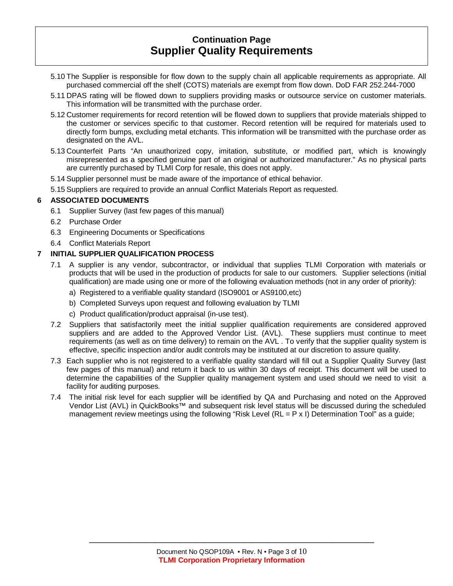- 5.10 The Supplier is responsible for flow down to the supply chain all applicable requirements as appropriate. All purchased commercial off the shelf (COTS) materials are exempt from flow down. DoD FAR 252.244-7000
- 5.11 DPAS rating will be flowed down to suppliers providing masks or outsource service on customer materials. This information will be transmitted with the purchase order.
- 5.12 Customer requirements for record retention will be flowed down to suppliers that provide materials shipped to the customer or services specific to that customer. Record retention will be required for materials used to directly form bumps, excluding metal etchants. This information will be transmitted with the purchase order as designated on the AVL.
- 5.13 Counterfeit Parts "An unauthorized copy, imitation, substitute, or modified part, which is knowingly misrepresented as a specified genuine part of an original or authorized manufacturer." As no physical parts are currently purchased by TLMI Corp for resale, this does not apply.

5.14 Supplier personnel must be made aware of the importance of ethical behavior.

5.15 Suppliers are required to provide an annual Conflict Materials Report as requested.

### **6 ASSOCIATED DOCUMENTS**

- 6.1 Supplier Survey (last few pages of this manual)
- 6.2 Purchase Order
- 6.3 Engineering Documents or Specifications
- 6.4 Conflict Materials Report

### **7 INITIAL SUPPLIER QUALIFICATION PROCESS**

- 7.1 A supplier is any vendor, subcontractor, or individual that supplies TLMI Corporation with materials or products that will be used in the production of products for sale to our customers. Supplier selections (initial qualification) are made using one or more of the following evaluation methods (not in any order of priority):
	- a) Registered to a verifiable quality standard (ISO9001 or AS9100,etc)
	- b) Completed Surveys upon request and following evaluation by TLMI
	- c) Product qualification/product appraisal (in-use test).
- 7.2 Suppliers that satisfactorily meet the initial supplier qualification requirements are considered approved suppliers and are added to the Approved Vendor List. (AVL). These suppliers must continue to meet requirements (as well as on time delivery) to remain on the AVL . To verify that the supplier quality system is effective, specific inspection and/or audit controls may be instituted at our discretion to assure quality.
- 7.3 Each supplier who is not registered to a verifiable quality standard will fill out a Supplier Quality Survey (last few pages of this manual) and return it back to us within 30 days of receipt. This document will be used to determine the capabilities of the Supplier quality management system and used should we need to visit a facility for auditing purposes.
- 7.4 The initial risk level for each supplier will be identified by QA and Purchasing and noted on the Approved Vendor List (AVL) in QuickBooks™ and subsequent risk level status will be discussed during the scheduled management review meetings using the following "Risk Level  $(RL = P \times I)$  Determination Tool" as a guide;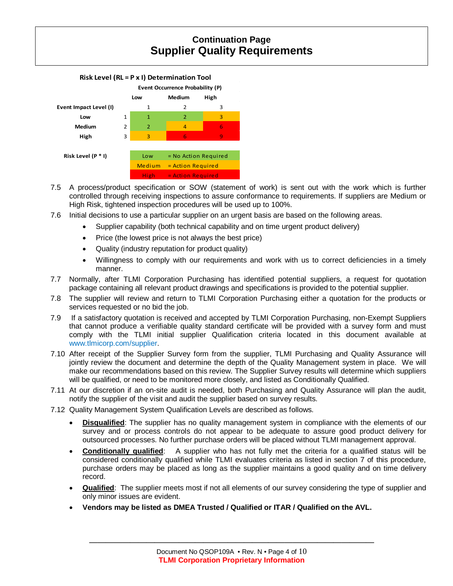

- 7.5 A process/product specification or SOW (statement of work) is sent out with the work which is further controlled through receiving inspections to assure conformance to requirements. If suppliers are Medium or High Risk, tightened inspection procedures will be used up to 100%.
- 7.6 Initial decisions to use a particular supplier on an urgent basis are based on the following areas.
	- Supplier capability (both technical capability and on time urgent product delivery)
	- Price (the lowest price is not always the best price)
	- Quality (industry reputation for product quality)
	- Willingness to comply with our requirements and work with us to correct deficiencies in a timely manner.
- 7.7 Normally, after TLMI Corporation Purchasing has identified potential suppliers, a request for quotation package containing all relevant product drawings and specifications is provided to the potential supplier.
- 7.8 The supplier will review and return to TLMI Corporation Purchasing either a quotation for the products or services requested or no bid the job.
- 7.9 If a satisfactory quotation is received and accepted by TLMI Corporation Purchasing, non-Exempt Suppliers that cannot produce a verifiable quality standard certificate will be provided with a survey form and must comply with the TLMI initial supplier Qualification criteria located in this document available at www.tlmicorp.com/supplier.
- 7.10 After receipt of the Supplier Survey form from the supplier, TLMI Purchasing and Quality Assurance will jointly review the document and determine the depth of the Quality Management system in place. We will make our recommendations based on this review. The Supplier Survey results will determine which suppliers will be qualified, or need to be monitored more closely, and listed as Conditionally Qualified.
- 7.11 At our discretion if an on-site audit is needed, both Purchasing and Quality Assurance will plan the audit, notify the supplier of the visit and audit the supplier based on survey results.
- 7.12 Quality Management System Qualification Levels are described as follows.
	- **Disqualified**: The supplier has no quality management system in compliance with the elements of our survey and or process controls do not appear to be adequate to assure good product delivery for outsourced processes. No further purchase orders will be placed without TLMI management approval.
	- **Conditionally qualified**: A supplier who has not fully met the criteria for a qualified status will be considered conditionally qualified while TLMI evaluates criteria as listed in section 7 of this procedure, purchase orders may be placed as long as the supplier maintains a good quality and on time delivery record.
	- **Qualified**: The supplier meets most if not all elements of our survey considering the type of supplier and only minor issues are evident.
	- **Vendors may be listed as DMEA Trusted / Qualified or ITAR / Qualified on the AVL.**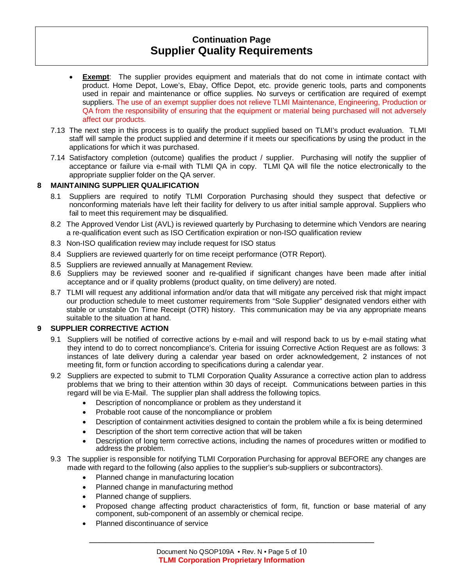- **Exempt**: The supplier provides equipment and materials that do not come in intimate contact with product. Home Depot, Lowe's, Ebay, Office Depot, etc. provide generic tools, parts and components used in repair and maintenance or office supplies. No surveys or certification are required of exempt suppliers. The use of an exempt supplier does not relieve TLMI Maintenance, Engineering, Production or QA from the responsibility of ensuring that the equipment or material being purchased will not adversely affect our products.
- 7.13 The next step in this process is to qualify the product supplied based on TLMI's product evaluation. TLMI staff will sample the product supplied and determine if it meets our specifications by using the product in the applications for which it was purchased.
- 7.14 Satisfactory completion (outcome) qualifies the product / supplier. Purchasing will notify the supplier of acceptance or failure via e-mail with TLMI QA in copy. TLMI QA will file the notice electronically to the appropriate supplier folder on the QA server.

### **8 MAINTAINING SUPPLIER QUALIFICATION**

- 8.1 Suppliers are required to notify TLMI Corporation Purchasing should they suspect that defective or nonconforming materials have left their facility for delivery to us after initial sample approval. Suppliers who fail to meet this requirement may be disqualified.
- 8.2 The Approved Vendor List (AVL) is reviewed quarterly by Purchasing to determine which Vendors are nearing a re-qualification event such as ISO Certification expiration or non-ISO qualification review
- 8.3 Non-ISO qualification review may include request for ISO status
- 8.4 Suppliers are reviewed quarterly for on time receipt performance (OTR Report).
- 8.5 Suppliers are reviewed annually at Management Review.
- 8.6 Suppliers may be reviewed sooner and re-qualified if significant changes have been made after initial acceptance and or if quality problems (product quality, on time delivery) are noted.
- 8.7 TLMI will request any additional information and/or data that will mitigate any perceived risk that might impact our production schedule to meet customer requirements from "Sole Supplier" designated vendors either with stable or unstable On Time Receipt (OTR) history. This communication may be via any appropriate means suitable to the situation at hand.

#### **9 SUPPLIER CORRECTIVE ACTION**

- 9.1 Suppliers will be notified of corrective actions by e-mail and will respond back to us by e-mail stating what they intend to do to correct noncompliance's. Criteria for issuing Corrective Action Request are as follows: 3 instances of late delivery during a calendar year based on order acknowledgement, 2 instances of not meeting fit, form or function according to specifications during a calendar year.
- 9.2 Suppliers are expected to submit to TLMI Corporation Quality Assurance a corrective action plan to address problems that we bring to their attention within 30 days of receipt. Communications between parties in this regard will be via E-Mail. The supplier plan shall address the following topics.
	- Description of noncompliance or problem as they understand it
	- Probable root cause of the noncompliance or problem
	- Description of containment activities designed to contain the problem while a fix is being determined
	- Description of the short term corrective action that will be taken
	- Description of long term corrective actions, including the names of procedures written or modified to address the problem.

#### 9.3 The supplier is responsible for notifying TLMI Corporation Purchasing for approval BEFORE any changes are made with regard to the following (also applies to the supplier's sub-suppliers or subcontractors).

- Planned change in manufacturing location
- Planned change in manufacturing method
- Planned change of suppliers.
- Proposed change affecting product characteristics of form, fit, function or base material of any component, sub-component of an assembly or chemical recipe.
- Planned discontinuance of service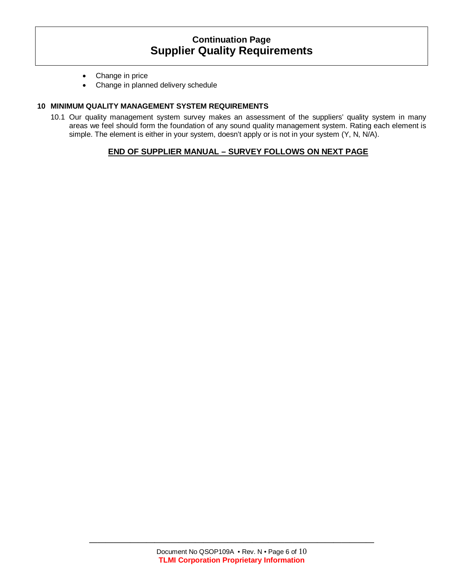- Change in price
- Change in planned delivery schedule

#### **10 MINIMUM QUALITY MANAGEMENT SYSTEM REQUIREMENTS**

10.1 Our quality management system survey makes an assessment of the suppliers' quality system in many areas we feel should form the foundation of any sound quality management system. Rating each element is simple. The element is either in your system, doesn't apply or is not in your system (Y, N, N/A).

### **END OF SUPPLIER MANUAL – SURVEY FOLLOWS ON NEXT PAGE**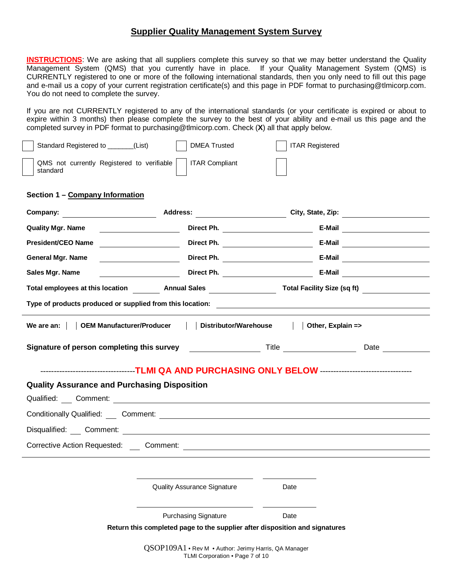**INSTRUCTIONS**: We are asking that all suppliers complete this survey so that we may better understand the Quality Management System (QMS) that you currently have in place. If your Quality Management System (QMS) is CURRENTLY registered to one or more of the following international standards, then you only need to fill out this page and e-mail us a copy of your current registration certificate(s) and this page in PDF format to purchasing@tlmicorp.com. You do not need to complete the survey.

If you are not CURRENTLY registered to any of the international standards (or your certificate is expired or about to expire within 3 months) then please complete the survey to the best of your ability and e-mail us this page and the completed survey in PDF format to purchasing@tlmicorp.com. Check (**X**) all that apply below.

| Standard Registered to ______(List)                    | <b>DMEA Trusted</b>                                                         | <b>ITAR Registered</b>                                                                                                                                                                                                      |  |
|--------------------------------------------------------|-----------------------------------------------------------------------------|-----------------------------------------------------------------------------------------------------------------------------------------------------------------------------------------------------------------------------|--|
| QMS not currently Registered to verifiable<br>standard | <b>ITAR Compliant</b>                                                       |                                                                                                                                                                                                                             |  |
| Section 1 - Company Information                        |                                                                             |                                                                                                                                                                                                                             |  |
|                                                        |                                                                             |                                                                                                                                                                                                                             |  |
| <b>Quality Mgr. Name</b>                               |                                                                             | <b>E-Mail</b> Direct Ph. <b>Container and Direct Ph. Container and Direct Ph. Container and Direct Ph. Container and Direct Ph. Container and Direct Ph. Container and Direct Ph. Container and Direct Ph. Container an</b> |  |
| President/CEO Name                                     |                                                                             |                                                                                                                                                                                                                             |  |
| <b>General Mgr. Name</b>                               |                                                                             |                                                                                                                                                                                                                             |  |
| Sales Mgr. Name                                        |                                                                             |                                                                                                                                                                                                                             |  |
|                                                        |                                                                             | Total employees at this location ____________ Annual Sales ____________________________ Total Facility Size (sq ft)                                                                                                         |  |
|                                                        |                                                                             |                                                                                                                                                                                                                             |  |
|                                                        |                                                                             |                                                                                                                                                                                                                             |  |
|                                                        | Signature of person completing this survey Title Title                      |                                                                                                                                                                                                                             |  |
|                                                        |                                                                             |                                                                                                                                                                                                                             |  |
|                                                        |                                                                             |                                                                                                                                                                                                                             |  |
|                                                        |                                                                             | -----------------------------------TLMI QA AND PURCHASING ONLY BELOW ----------------------------------                                                                                                                     |  |
| <b>Quality Assurance and Purchasing Disposition</b>    |                                                                             |                                                                                                                                                                                                                             |  |
|                                                        |                                                                             |                                                                                                                                                                                                                             |  |
|                                                        |                                                                             |                                                                                                                                                                                                                             |  |
|                                                        |                                                                             |                                                                                                                                                                                                                             |  |
|                                                        |                                                                             |                                                                                                                                                                                                                             |  |
|                                                        | <b>Quality Assurance Signature</b>                                          | Date                                                                                                                                                                                                                        |  |
|                                                        | <b>Purchasing Signature</b>                                                 | Date                                                                                                                                                                                                                        |  |
|                                                        | Return this completed page to the supplier after disposition and signatures |                                                                                                                                                                                                                             |  |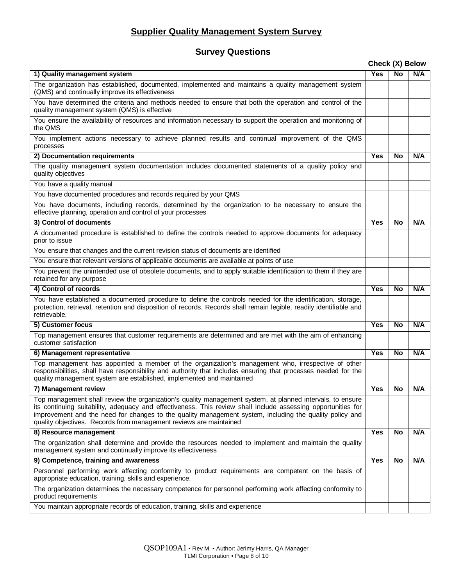### **Survey Questions**

#### **Check (X) Below**

| 1) Quality management system                                                                                                                                                                                                                                                                                                                                                                                | <b>Yes</b> | <b>No</b> | N/A |
|-------------------------------------------------------------------------------------------------------------------------------------------------------------------------------------------------------------------------------------------------------------------------------------------------------------------------------------------------------------------------------------------------------------|------------|-----------|-----|
| The organization has established, documented, implemented and maintains a quality management system<br>(QMS) and continually improve its effectiveness                                                                                                                                                                                                                                                      |            |           |     |
| You have determined the criteria and methods needed to ensure that both the operation and control of the<br>quality management system (QMS) is effective                                                                                                                                                                                                                                                    |            |           |     |
| You ensure the availability of resources and information necessary to support the operation and monitoring of<br>the QMS                                                                                                                                                                                                                                                                                    |            |           |     |
| You implement actions necessary to achieve planned results and continual improvement of the QMS<br>processes                                                                                                                                                                                                                                                                                                |            |           |     |
| 2) Documentation requirements                                                                                                                                                                                                                                                                                                                                                                               | Yes        | No        | N/A |
| The quality management system documentation includes documented statements of a quality policy and<br>quality objectives                                                                                                                                                                                                                                                                                    |            |           |     |
| You have a quality manual                                                                                                                                                                                                                                                                                                                                                                                   |            |           |     |
| You have documented procedures and records required by your QMS                                                                                                                                                                                                                                                                                                                                             |            |           |     |
| You have documents, including records, determined by the organization to be necessary to ensure the<br>effective planning, operation and control of your processes                                                                                                                                                                                                                                          |            |           |     |
| 3) Control of documents                                                                                                                                                                                                                                                                                                                                                                                     | <b>Yes</b> | <b>No</b> | N/A |
| A documented procedure is established to define the controls needed to approve documents for adequacy<br>prior to issue                                                                                                                                                                                                                                                                                     |            |           |     |
| You ensure that changes and the current revision status of documents are identified                                                                                                                                                                                                                                                                                                                         |            |           |     |
| You ensure that relevant versions of applicable documents are available at points of use                                                                                                                                                                                                                                                                                                                    |            |           |     |
| You prevent the unintended use of obsolete documents, and to apply suitable identification to them if they are<br>retained for any purpose                                                                                                                                                                                                                                                                  |            |           |     |
| 4) Control of records                                                                                                                                                                                                                                                                                                                                                                                       | <b>Yes</b> | No        | N/A |
| You have established a documented procedure to define the controls needed for the identification, storage,<br>protection, retrieval, retention and disposition of records. Records shall remain legible, readily identifiable and<br>retrievable.                                                                                                                                                           |            |           |     |
| 5) Customer focus                                                                                                                                                                                                                                                                                                                                                                                           | <b>Yes</b> | No        | N/A |
| Top management ensures that customer requirements are determined and are met with the aim of enhancing<br>customer satisfaction                                                                                                                                                                                                                                                                             |            |           |     |
| 6) Management representative                                                                                                                                                                                                                                                                                                                                                                                | <b>Yes</b> | No        | N/A |
| Top management has appointed a member of the organization's management who, irrespective of other<br>responsibilities, shall have responsibility and authority that includes ensuring that processes needed for the<br>quality management system are established, implemented and maintained                                                                                                                |            |           |     |
| 7) Management review                                                                                                                                                                                                                                                                                                                                                                                        | <b>Yes</b> | <b>No</b> | N/A |
| Top management shall review the organization's quality management system, at planned intervals, to ensure<br>its continuing suitability, adequacy and effectiveness. This review shall include assessing opportunities for<br>improvement and the need for changes to the quality management system, including the quality policy and<br>quality objectives. Records from management reviews are maintained |            |           |     |
| 8) Resource management                                                                                                                                                                                                                                                                                                                                                                                      | <b>Yes</b> | <b>No</b> | N/A |
| The organization shall determine and provide the resources needed to implement and maintain the quality<br>management system and continually improve its effectiveness                                                                                                                                                                                                                                      |            |           |     |
| 9) Competence, training and awareness                                                                                                                                                                                                                                                                                                                                                                       | <b>Yes</b> | <b>No</b> | N/A |
| Personnel performing work affecting conformity to product requirements are competent on the basis of<br>appropriate education, training, skills and experience.                                                                                                                                                                                                                                             |            |           |     |
| The organization determines the necessary competence for personnel performing work affecting conformity to<br>product requirements                                                                                                                                                                                                                                                                          |            |           |     |
| You maintain appropriate records of education, training, skills and experience                                                                                                                                                                                                                                                                                                                              |            |           |     |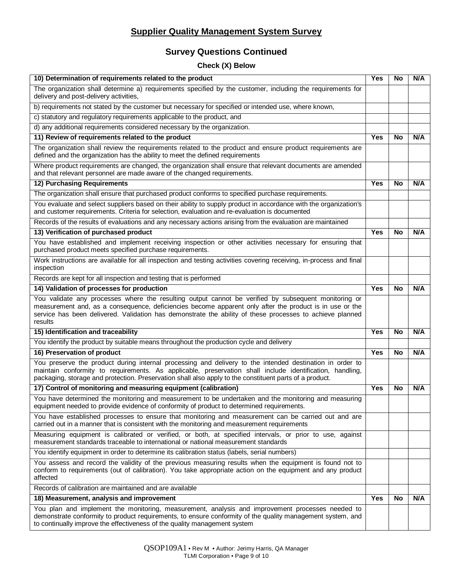### **Survey Questions Continued**

### **Check (X) Below**

| 10) Determination of requirements related to the product                                                                                                                                                                                                                                                                               |            |           | N/A |
|----------------------------------------------------------------------------------------------------------------------------------------------------------------------------------------------------------------------------------------------------------------------------------------------------------------------------------------|------------|-----------|-----|
| The organization shall determine a) requirements specified by the customer, including the requirements for<br>delivery and post-delivery activities,                                                                                                                                                                                   |            |           |     |
| b) requirements not stated by the customer but necessary for specified or intended use, where known,                                                                                                                                                                                                                                   |            |           |     |
| c) statutory and regulatory requirements applicable to the product, and                                                                                                                                                                                                                                                                |            |           |     |
| d) any additional requirements considered necessary by the organization.                                                                                                                                                                                                                                                               |            |           |     |
| 11) Review of requirements related to the product                                                                                                                                                                                                                                                                                      |            |           | N/A |
| The organization shall review the requirements related to the product and ensure product requirements are<br>defined and the organization has the ability to meet the defined requirements                                                                                                                                             |            |           |     |
| Where product requirements are changed, the organization shall ensure that relevant documents are amended<br>and that relevant personnel are made aware of the changed requirements.                                                                                                                                                   |            |           |     |
| <b>12) Purchasing Requirements</b>                                                                                                                                                                                                                                                                                                     |            |           | N/A |
| The organization shall ensure that purchased product conforms to specified purchase requirements.                                                                                                                                                                                                                                      |            |           |     |
| You evaluate and select suppliers based on their ability to supply product in accordance with the organization's<br>and customer requirements. Criteria for selection, evaluation and re-evaluation is documented                                                                                                                      |            |           |     |
| Records of the results of evaluations and any necessary actions arising from the evaluation are maintained                                                                                                                                                                                                                             |            |           |     |
| 13) Verification of purchased product                                                                                                                                                                                                                                                                                                  | <b>Yes</b> | No        | N/A |
| You have established and implement receiving inspection or other activities necessary for ensuring that<br>purchased product meets specified purchase requirements.                                                                                                                                                                    |            |           |     |
| Work instructions are available for all inspection and testing activities covering receiving, in-process and final<br>inspection                                                                                                                                                                                                       |            |           |     |
| Records are kept for all inspection and testing that is performed                                                                                                                                                                                                                                                                      |            |           |     |
| 14) Validation of processes for production                                                                                                                                                                                                                                                                                             | <b>Yes</b> | <b>No</b> | N/A |
| You validate any processes where the resulting output cannot be verified by subsequent monitoring or<br>measurement and, as a consequence, deficiencies become apparent only after the product is in use or the<br>service has been delivered. Validation has demonstrate the ability of these processes to achieve planned<br>results |            |           |     |
| 15) Identification and traceability                                                                                                                                                                                                                                                                                                    | <b>Yes</b> | <b>No</b> | N/A |
| You identify the product by suitable means throughout the production cycle and delivery                                                                                                                                                                                                                                                |            |           |     |
| 16) Preservation of product                                                                                                                                                                                                                                                                                                            | <b>Yes</b> | <b>No</b> | N/A |
| You preserve the product during internal processing and delivery to the intended destination in order to<br>maintain conformity to requirements. As applicable, preservation shall include identification, handling,<br>packaging, storage and protection. Preservation shall also apply to the constituent parts of a product.        |            |           |     |
| 17) Control of monitoring and measuring equipment (calibration)                                                                                                                                                                                                                                                                        | <b>Yes</b> | <b>No</b> | N/A |
| You have determined the monitoring and measurement to be undertaken and the monitoring and measuring<br>equipment needed to provide evidence of conformity of product to determined requirements.                                                                                                                                      |            |           |     |
| You have established processes to ensure that monitoring and measurement can be carried out and are<br>carried out in a manner that is consistent with the monitoring and measurement requirements                                                                                                                                     |            |           |     |
| Measuring equipment is calibrated or verified, or both, at specified intervals, or prior to use, against<br>measurement standards traceable to international or national measurement standards                                                                                                                                         |            |           |     |
| You identify equipment in order to determine its calibration status (labels, serial numbers)                                                                                                                                                                                                                                           |            |           |     |
| You assess and record the validity of the previous measuring results when the equipment is found not to<br>conform to requirements (out of calibration). You take appropriate action on the equipment and any product<br>affected                                                                                                      |            |           |     |
| Records of calibration are maintained and are available                                                                                                                                                                                                                                                                                |            |           |     |
| 18) Measurement, analysis and improvement                                                                                                                                                                                                                                                                                              | <b>Yes</b> | No        | N/A |
| You plan and implement the monitoring, measurement, analysis and improvement processes needed to<br>demonstrate conformity to product requirements, to ensure conformity of the quality management system, and<br>to continually improve the effectiveness of the quality management system                                            |            |           |     |